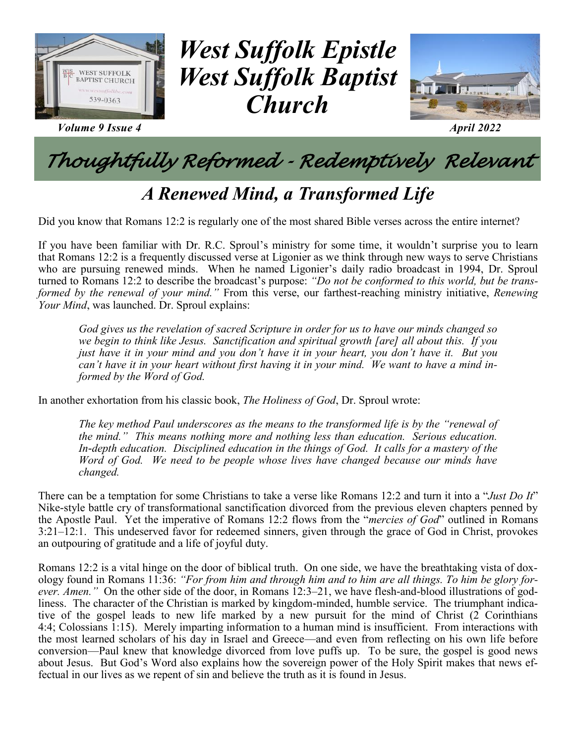

*Volume 9 Issue 4 April 2022*



## *Thoughtfully Reformed - Redemptively Relevant*

### *A Renewed Mind, a Transformed Life*

Did you know that Romans 12:2 is regularly one of the most shared Bible verses across the entire internet?

If you have been familiar with Dr. R.C. Sproul's ministry for some time, it wouldn't surprise you to learn that Romans 12:2 is a frequently discussed verse at Ligonier as we think through new ways to serve Christians who are pursuing renewed minds. When he named Ligonier's daily radio broadcast in 1994, Dr. Sproul turned to Romans 12:2 to describe the broadcast's purpose: *"Do not be conformed to this world, but be transformed by the renewal of your mind."* From this verse, our farthest-reaching ministry initiative, *Renewing Your Mind*, was launched. Dr. Sproul explains:

*God gives us the revelation of sacred Scripture in order for us to have our minds changed so we begin to think like Jesus. Sanctification and spiritual growth [are] all about this. If you just have it in your mind and you don't have it in your heart, you don't have it. But you can't have it in your heart without first having it in your mind. We want to have a mind informed by the Word of God.*

In another exhortation from his classic book, *The Holiness of God*, Dr. Sproul wrote:

*The key method Paul underscores as the means to the transformed life is by the "renewal of the mind." This means nothing more and nothing less than education. Serious education. In-depth education. Disciplined education in the things of God. It calls for a mastery of the Word of God. We need to be people whose lives have changed because our minds have changed.* 

There can be a temptation for some Christians to take a verse like Romans 12:2 and turn it into a "*Just Do It*" Nike-style battle cry of transformational sanctification divorced from the previous eleven chapters penned by the Apostle Paul. Yet the imperative of Romans 12:2 flows from the "*mercies of God*" outlined in Romans 3:21–12:1. This undeserved favor for redeemed sinners, given through the grace of God in Christ, provokes an outpouring of gratitude and a life of joyful duty.

Romans 12:2 is a vital hinge on the door of biblical truth. On one side, we have the breathtaking vista of doxology found in Romans 11:36: *"For from him and through him and to him are all things. To him be glory forever. Amen."* On the other side of the door, in Romans 12:3–21, we have flesh-and-blood illustrations of godliness. The character of the Christian is marked by kingdom-minded, humble service. The triumphant indicative of the gospel leads to new life marked by a new pursuit for the mind of Christ (2 Corinthians 4:4; Colossians 1:15). Merely imparting information to a human mind is insufficient. From interactions with the most learned scholars of his day in Israel and Greece—and even from reflecting on his own life before conversion—Paul knew that knowledge divorced from love puffs up. To be sure, the gospel is good news about Jesus. But God's Word also explains how the sovereign power of the Holy Spirit makes that news effectual in our lives as we repent of sin and believe the truth as it is found in Jesus.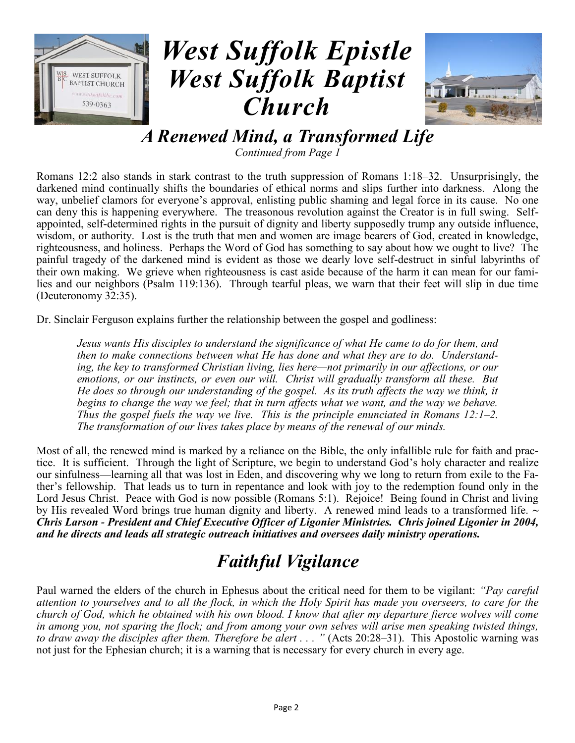



*A Renewed Mind, a Transformed Life*

*Continued from Page 1*

Romans 12:2 also stands in stark contrast to the truth suppression of Romans 1:18–32. Unsurprisingly, the darkened mind continually shifts the boundaries of ethical norms and slips further into darkness. Along the way, unbelief clamors for everyone's approval, enlisting public shaming and legal force in its cause. No one can deny this is happening everywhere. The treasonous revolution against the Creator is in full swing. Selfappointed, self-determined rights in the pursuit of dignity and liberty supposedly trump any outside influence, wisdom, or authority. Lost is the truth that men and women are image bearers of God, created in knowledge, righteousness, and holiness. Perhaps the Word of God has something to say about how we ought to live? The painful tragedy of the darkened mind is evident as those we dearly love self-destruct in sinful labyrinths of their own making. We grieve when righteousness is cast aside because of the harm it can mean for our families and our neighbors (Psalm 119:136). Through tearful pleas, we warn that their feet will slip in due time (Deuteronomy 32:35).

Dr. Sinclair Ferguson explains further the relationship between the gospel and godliness:

*Jesus wants His disciples to understand the significance of what He came to do for them, and then to make connections between what He has done and what they are to do. Understanding, the key to transformed Christian living, lies here—not primarily in our affections, or our emotions, or our instincts, or even our will. Christ will gradually transform all these. But He does so through our understanding of the gospel. As its truth affects the way we think, it begins to change the way we feel; that in turn affects what we want, and the way we behave. Thus the gospel fuels the way we live. This is the principle enunciated in Romans 12:1–2. The transformation of our lives takes place by means of the renewal of our minds.* 

Most of all, the renewed mind is marked by a reliance on the Bible, the only infallible rule for faith and practice. It is sufficient. Through the light of Scripture, we begin to understand God's holy character and realize our sinfulness—learning all that was lost in Eden, and discovering why we long to return from exile to the Father's fellowship. That leads us to turn in repentance and look with joy to the redemption found only in the Lord Jesus Christ. Peace with God is now possible (Romans 5:1). Rejoice! Being found in Christ and living by His revealed Word brings true human dignity and liberty. A renewed mind leads to a transformed life. *~ Chris Larson - President and Chief Executive Officer of Ligonier Ministries. Chris joined Ligonier in 2004, and he directs and leads all strategic outreach initiatives and oversees daily ministry operations.*

## *Faithful Vigilance*

Paul warned the elders of the church in Ephesus about the critical need for them to be vigilant: *"Pay careful attention to yourselves and to all the flock, in which the Holy Spirit has made you overseers, to care for the church of God, which he obtained with his own blood. I know that after my departure fierce wolves will come in among you, not sparing the flock; and from among your own selves will arise men speaking twisted things,*  to draw away the disciples after them. Therefore be alert . . . " (Acts 20:28-31). This Apostolic warning was not just for the Ephesian church; it is a warning that is necessary for every church in every age.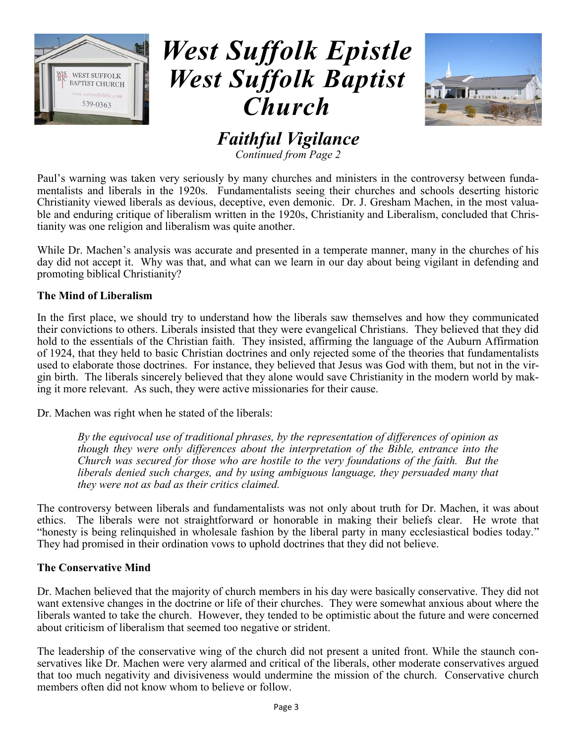



### *Faithful Vigilance*

*Continued from Page 2*

Paul's warning was taken very seriously by many churches and ministers in the controversy between fundamentalists and liberals in the 1920s. Fundamentalists seeing their churches and schools deserting historic Christianity viewed liberals as devious, deceptive, even demonic. Dr. J. Gresham Machen, in the most valuable and enduring critique of liberalism written in the 1920s, Christianity and Liberalism, concluded that Christianity was one religion and liberalism was quite another.

While Dr. Machen's analysis was accurate and presented in a temperate manner, many in the churches of his day did not accept it. Why was that, and what can we learn in our day about being vigilant in defending and promoting biblical Christianity?

#### **The Mind of Liberalism**

In the first place, we should try to understand how the liberals saw themselves and how they communicated their convictions to others. Liberals insisted that they were evangelical Christians. They believed that they did hold to the essentials of the Christian faith. They insisted, affirming the language of the Auburn Affirmation of 1924, that they held to basic Christian doctrines and only rejected some of the theories that fundamentalists used to elaborate those doctrines. For instance, they believed that Jesus was God with them, but not in the virgin birth. The liberals sincerely believed that they alone would save Christianity in the modern world by making it more relevant. As such, they were active missionaries for their cause.

Dr. Machen was right when he stated of the liberals:

*By the equivocal use of traditional phrases, by the representation of differences of opinion as though they were only differences about the interpretation of the Bible, entrance into the Church was secured for those who are hostile to the very foundations of the faith. But the liberals denied such charges, and by using ambiguous language, they persuaded many that they were not as bad as their critics claimed.* 

The controversy between liberals and fundamentalists was not only about truth for Dr. Machen, it was about ethics. The liberals were not straightforward or honorable in making their beliefs clear. He wrote that "honesty is being relinquished in wholesale fashion by the liberal party in many ecclesiastical bodies today." They had promised in their ordination vows to uphold doctrines that they did not believe.

#### **The Conservative Mind**

Dr. Machen believed that the majority of church members in his day were basically conservative. They did not want extensive changes in the doctrine or life of their churches. They were somewhat anxious about where the liberals wanted to take the church. However, they tended to be optimistic about the future and were concerned about criticism of liberalism that seemed too negative or strident.

The leadership of the conservative wing of the church did not present a united front. While the staunch conservatives like Dr. Machen were very alarmed and critical of the liberals, other moderate conservatives argued that too much negativity and divisiveness would undermine the mission of the church. Conservative church members often did not know whom to believe or follow.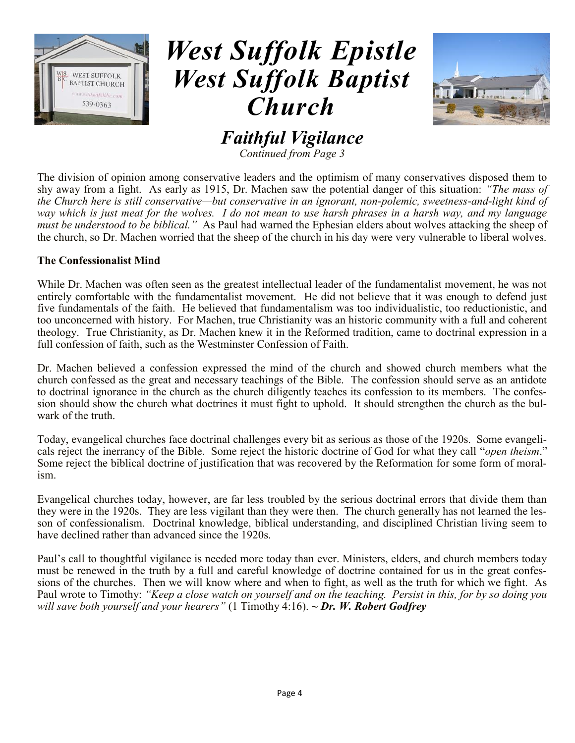



*Faithful Vigilance*

*Continued from Page 3*

The division of opinion among conservative leaders and the optimism of many conservatives disposed them to shy away from a fight. As early as 1915, Dr. Machen saw the potential danger of this situation: *"The mass of the Church here is still conservative—but conservative in an ignorant, non-polemic, sweetness-and-light kind of way which is just meat for the wolves. I do not mean to use harsh phrases in a harsh way, and my language must be understood to be biblical."* As Paul had warned the Ephesian elders about wolves attacking the sheep of the church, so Dr. Machen worried that the sheep of the church in his day were very vulnerable to liberal wolves.

#### **The Confessionalist Mind**

While Dr. Machen was often seen as the greatest intellectual leader of the fundamentalist movement, he was not entirely comfortable with the fundamentalist movement. He did not believe that it was enough to defend just five fundamentals of the faith. He believed that fundamentalism was too individualistic, too reductionistic, and too unconcerned with history. For Machen, true Christianity was an historic community with a full and coherent theology. True Christianity, as Dr. Machen knew it in the Reformed tradition, came to doctrinal expression in a full confession of faith, such as the Westminster Confession of Faith.

Dr. Machen believed a confession expressed the mind of the church and showed church members what the church confessed as the great and necessary teachings of the Bible. The confession should serve as an antidote to doctrinal ignorance in the church as the church diligently teaches its confession to its members. The confession should show the church what doctrines it must fight to uphold. It should strengthen the church as the bulwark of the truth.

Today, evangelical churches face doctrinal challenges every bit as serious as those of the 1920s. Some evangelicals reject the inerrancy of the Bible. Some reject the historic doctrine of God for what they call "*open theism*." Some reject the biblical doctrine of justification that was recovered by the Reformation for some form of moralism.

Evangelical churches today, however, are far less troubled by the serious doctrinal errors that divide them than they were in the 1920s. They are less vigilant than they were then. The church generally has not learned the lesson of confessionalism. Doctrinal knowledge, biblical understanding, and disciplined Christian living seem to have declined rather than advanced since the 1920s.

Paul's call to thoughtful vigilance is needed more today than ever. Ministers, elders, and church members today must be renewed in the truth by a full and careful knowledge of doctrine contained for us in the great confessions of the churches. Then we will know where and when to fight, as well as the truth for which we fight. As Paul wrote to Timothy: *"Keep a close watch on yourself and on the teaching. Persist in this, for by so doing you will save both yourself and your hearers"* (1 Timothy 4:16). *~ Dr. W. Robert Godfrey*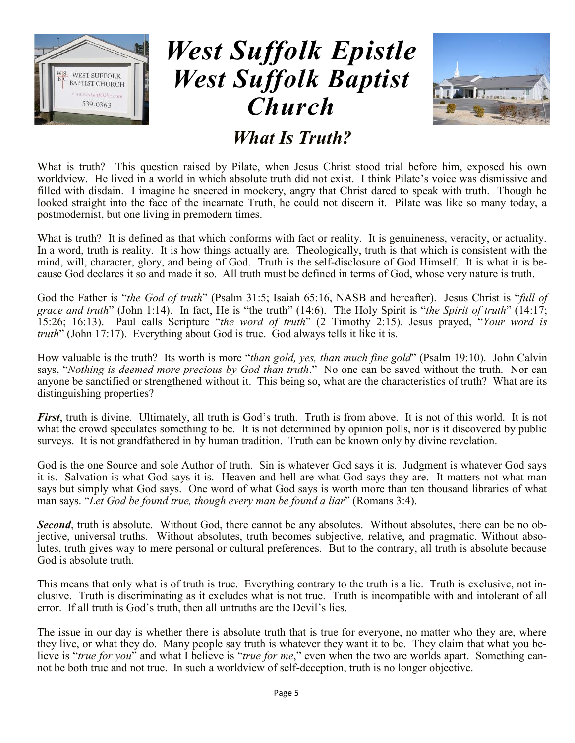



### *What Is Truth?*

What is truth? This question raised by Pilate, when Jesus Christ stood trial before him, exposed his own worldview. He lived in a world in which absolute truth did not exist. I think Pilate's voice was dismissive and filled with disdain. I imagine he sneered in mockery, angry that Christ dared to speak with truth. Though he looked straight into the face of the incarnate Truth, he could not discern it. Pilate was like so many today, a postmodernist, but one living in premodern times.

What is truth? It is defined as that which conforms with fact or reality. It is genuineness, veracity, or actuality. In a word, truth is reality. It is how things actually are. Theologically, truth is that which is consistent with the mind, will, character, glory, and being of God. Truth is the self-disclosure of God Himself. It is what it is because God declares it so and made it so. All truth must be defined in terms of God, whose very nature is truth.

God the Father is "*the God of truth*" (Psalm 31:5; Isaiah 65:16, NASB and hereafter). Jesus Christ is "*full of grace and truth*" (John 1:14). In fact, He is "the truth" (14:6). The Holy Spirit is "*the Spirit of truth*" (14:17; 15:26; 16:13). Paul calls Scripture "*the word of truth*" (2 Timothy 2:15). Jesus prayed, "*Your word is truth*" (John 17:17). Everything about God is true. God always tells it like it is.

How valuable is the truth? Its worth is more "*than gold, yes, than much fine gold*" (Psalm 19:10). John Calvin says, "*Nothing is deemed more precious by God than truth*." No one can be saved without the truth. Nor can anyone be sanctified or strengthened without it. This being so, what are the characteristics of truth? What are its distinguishing properties?

*First*, truth is divine. Ultimately, all truth is God's truth. Truth is from above. It is not of this world. It is not what the crowd speculates something to be. It is not determined by opinion polls, nor is it discovered by public surveys. It is not grandfathered in by human tradition. Truth can be known only by divine revelation.

God is the one Source and sole Author of truth. Sin is whatever God says it is. Judgment is whatever God says it is. Salvation is what God says it is. Heaven and hell are what God says they are. It matters not what man says but simply what God says. One word of what God says is worth more than ten thousand libraries of what man says. "*Let God be found true, though every man be found a liar*" (Romans 3:4).

**Second**, truth is absolute. Without God, there cannot be any absolutes. Without absolutes, there can be no objective, universal truths. Without absolutes, truth becomes subjective, relative, and pragmatic. Without absolutes, truth gives way to mere personal or cultural preferences. But to the contrary, all truth is absolute because God is absolute truth.

This means that only what is of truth is true. Everything contrary to the truth is a lie. Truth is exclusive, not inclusive. Truth is discriminating as it excludes what is not true. Truth is incompatible with and intolerant of all error. If all truth is God's truth, then all untruths are the Devil's lies.

The issue in our day is whether there is absolute truth that is true for everyone, no matter who they are, where they live, or what they do. Many people say truth is whatever they want it to be. They claim that what you believe is "*true for you*" and what I believe is "*true for me*," even when the two are worlds apart. Something cannot be both true and not true. In such a worldview of self-deception, truth is no longer objective.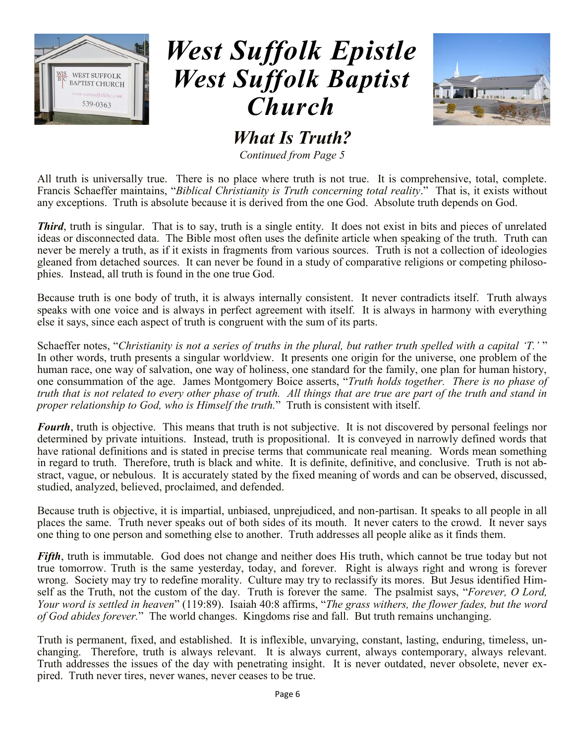



*What Is Truth?*

*Continued from Page 5*

All truth is universally true. There is no place where truth is not true. It is comprehensive, total, complete. Francis Schaeffer maintains, "*Biblical Christianity is Truth concerning total reality*." That is, it exists without any exceptions. Truth is absolute because it is derived from the one God. Absolute truth depends on God.

**Third**, truth is singular. That is to say, truth is a single entity. It does not exist in bits and pieces of unrelated ideas or disconnected data. The Bible most often uses the definite article when speaking of the truth. Truth can never be merely a truth, as if it exists in fragments from various sources. Truth is not a collection of ideologies gleaned from detached sources. It can never be found in a study of comparative religions or competing philosophies. Instead, all truth is found in the one true God.

Because truth is one body of truth, it is always internally consistent. It never contradicts itself. Truth always speaks with one voice and is always in perfect agreement with itself. It is always in harmony with everything else it says, since each aspect of truth is congruent with the sum of its parts.

Schaeffer notes, "*Christianity is not a series of truths in the plural, but rather truth spelled with a capital 'T.'* " In other words, truth presents a singular worldview. It presents one origin for the universe, one problem of the human race, one way of salvation, one way of holiness, one standard for the family, one plan for human history, one consummation of the age. James Montgomery Boice asserts, "*Truth holds together. There is no phase of truth that is not related to every other phase of truth. All things that are true are part of the truth and stand in proper relationship to God, who is Himself the truth.*" Truth is consistent with itself.

*Fourth*, truth is objective. This means that truth is not subjective. It is not discovered by personal feelings nor determined by private intuitions. Instead, truth is propositional. It is conveyed in narrowly defined words that have rational definitions and is stated in precise terms that communicate real meaning. Words mean something in regard to truth. Therefore, truth is black and white. It is definite, definitive, and conclusive. Truth is not abstract, vague, or nebulous. It is accurately stated by the fixed meaning of words and can be observed, discussed, studied, analyzed, believed, proclaimed, and defended.

Because truth is objective, it is impartial, unbiased, unprejudiced, and non-partisan. It speaks to all people in all places the same. Truth never speaks out of both sides of its mouth. It never caters to the crowd. It never says one thing to one person and something else to another. Truth addresses all people alike as it finds them.

*Fifth*, truth is immutable. God does not change and neither does His truth, which cannot be true today but not true tomorrow. Truth is the same yesterday, today, and forever. Right is always right and wrong is forever wrong. Society may try to redefine morality. Culture may try to reclassify its mores. But Jesus identified Himself as the Truth, not the custom of the day. Truth is forever the same. The psalmist says, "*Forever, O Lord, Your word is settled in heaven*" (119:89). Isaiah 40:8 affirms, "*The grass withers, the flower fades, but the word of God abides forever.*" The world changes. Kingdoms rise and fall. But truth remains unchanging.

Truth is permanent, fixed, and established. It is inflexible, unvarying, constant, lasting, enduring, timeless, unchanging. Therefore, truth is always relevant. It is always current, always contemporary, always relevant. Truth addresses the issues of the day with penetrating insight. It is never outdated, never obsolete, never expired. Truth never tires, never wanes, never ceases to be true.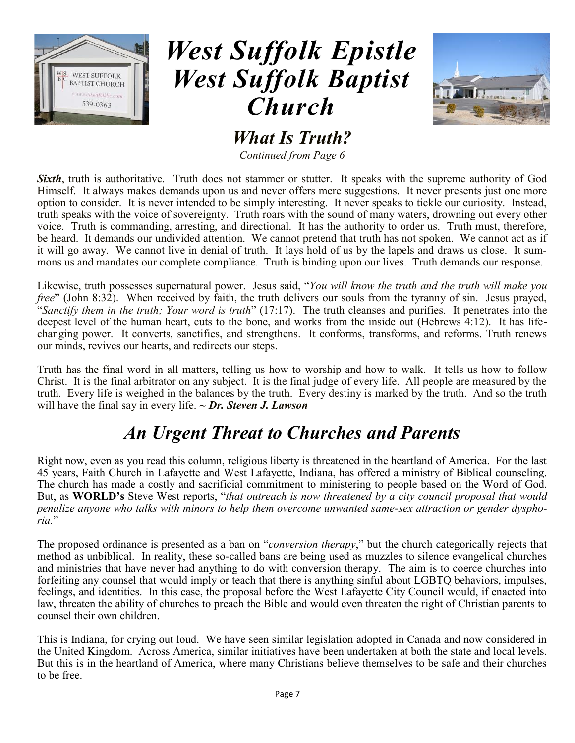



*What Is Truth?*

*Continued from Page 6*

**Sixth**, truth is authoritative. Truth does not stammer or stutter. It speaks with the supreme authority of God Himself. It always makes demands upon us and never offers mere suggestions. It never presents just one more option to consider. It is never intended to be simply interesting. It never speaks to tickle our curiosity. Instead, truth speaks with the voice of sovereignty. Truth roars with the sound of many waters, drowning out every other voice. Truth is commanding, arresting, and directional. It has the authority to order us. Truth must, therefore, be heard. It demands our undivided attention. We cannot pretend that truth has not spoken. We cannot act as if it will go away. We cannot live in denial of truth. It lays hold of us by the lapels and draws us close. It summons us and mandates our complete compliance. Truth is binding upon our lives. Truth demands our response.

Likewise, truth possesses supernatural power. Jesus said, "*You will know the truth and the truth will make you free*" (John 8:32). When received by faith, the truth delivers our souls from the tyranny of sin. Jesus prayed, "*Sanctify them in the truth; Your word is truth*" (17:17). The truth cleanses and purifies. It penetrates into the deepest level of the human heart, cuts to the bone, and works from the inside out (Hebrews 4:12). It has lifechanging power. It converts, sanctifies, and strengthens. It conforms, transforms, and reforms. Truth renews our minds, revives our hearts, and redirects our steps.

Truth has the final word in all matters, telling us how to worship and how to walk. It tells us how to follow Christ. It is the final arbitrator on any subject. It is the final judge of every life. All people are measured by the truth. Every life is weighed in the balances by the truth. Every destiny is marked by the truth. And so the truth will have the final say in every life. *~ Dr. Steven J. Lawson* 

### *An Urgent Threat to Churches and Parents*

Right now, even as you read this column, religious liberty is threatened in the heartland of America. For the last 45 years, Faith Church in Lafayette and West Lafayette, Indiana, has offered a ministry of Biblical counseling. The church has made a costly and sacrificial commitment to ministering to people based on the Word of God. But, as **WORLD's** Steve West reports, "*that outreach is now threatened by a city council proposal that would penalize anyone who talks with minors to help them overcome unwanted same-sex attraction or gender dysphoria.*"

The proposed ordinance is presented as a ban on "*conversion therapy*," but the church categorically rejects that method as unbiblical. In reality, these so-called bans are being used as muzzles to silence evangelical churches and ministries that have never had anything to do with conversion therapy. The aim is to coerce churches into forfeiting any counsel that would imply or teach that there is anything sinful about LGBTQ behaviors, impulses, feelings, and identities. In this case, the proposal before the West Lafayette City Council would, if enacted into law, threaten the ability of churches to preach the Bible and would even threaten the right of Christian parents to counsel their own children.

This is Indiana, for crying out loud. We have seen similar legislation adopted in Canada and now considered in the United Kingdom. Across America, similar initiatives have been undertaken at both the state and local levels. But this is in the heartland of America, where many Christians believe themselves to be safe and their churches to be free.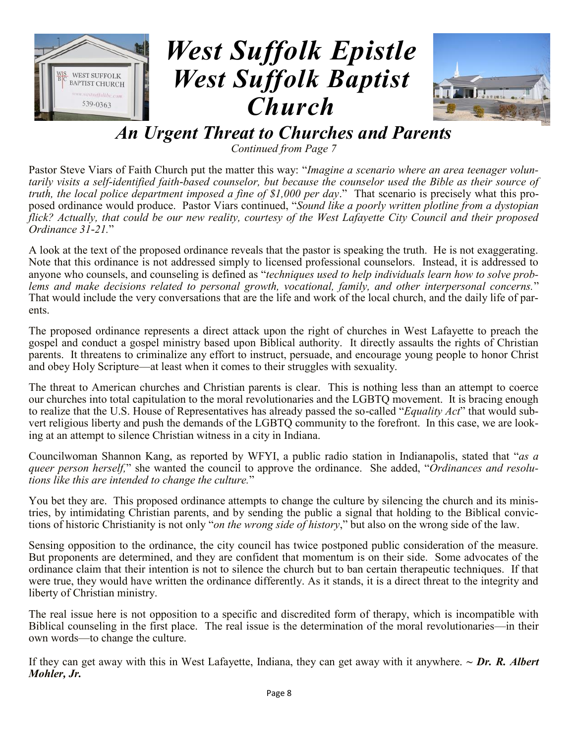



### *An Urgent Threat to Churches and Parents*

*Continued from Page 7*

Pastor Steve Viars of Faith Church put the matter this way: "*Imagine a scenario where an area teenager voluntarily visits a self-identified faith-based counselor, but because the counselor used the Bible as their source of truth, the local police department imposed a fine of \$1,000 per day*." That scenario is precisely what this proposed ordinance would produce. Pastor Viars continued, "*Sound like a poorly written plotline from a dystopian flick? Actually, that could be our new reality, courtesy of the West Lafayette City Council and their proposed Ordinance 31-21.*"

A look at the text of the proposed ordinance reveals that the pastor is speaking the truth. He is not exaggerating. Note that this ordinance is not addressed simply to licensed professional counselors. Instead, it is addressed to anyone who counsels, and counseling is defined as "*techniques used to help individuals learn how to solve problems and make decisions related to personal growth, vocational, family, and other interpersonal concerns.*" That would include the very conversations that are the life and work of the local church, and the daily life of parents.

The proposed ordinance represents a direct attack upon the right of churches in West Lafayette to preach the gospel and conduct a gospel ministry based upon Biblical authority. It directly assaults the rights of Christian parents. It threatens to criminalize any effort to instruct, persuade, and encourage young people to honor Christ and obey Holy Scripture—at least when it comes to their struggles with sexuality.

The threat to American churches and Christian parents is clear. This is nothing less than an attempt to coerce our churches into total capitulation to the moral revolutionaries and the LGBTQ movement. It is bracing enough to realize that the U.S. House of Representatives has already passed the so-called "*Equality Act*" that would subvert religious liberty and push the demands of the LGBTQ community to the forefront. In this case, we are looking at an attempt to silence Christian witness in a city in Indiana.

Councilwoman Shannon Kang, as reported by WFYI, a public radio station in Indianapolis, stated that "*as a queer person herself,*" she wanted the council to approve the ordinance. She added, "*Ordinances and resolutions like this are intended to change the culture.*"

You bet they are. This proposed ordinance attempts to change the culture by silencing the church and its ministries, by intimidating Christian parents, and by sending the public a signal that holding to the Biblical convictions of historic Christianity is not only "*on the wrong side of history*," but also on the wrong side of the law.

Sensing opposition to the ordinance, the city council has twice postponed public consideration of the measure. But proponents are determined, and they are confident that momentum is on their side. Some advocates of the ordinance claim that their intention is not to silence the church but to ban certain therapeutic techniques. If that were true, they would have written the ordinance differently. As it stands, it is a direct threat to the integrity and liberty of Christian ministry.

The real issue here is not opposition to a specific and discredited form of therapy, which is incompatible with Biblical counseling in the first place. The real issue is the determination of the moral revolutionaries—in their own words—to change the culture.

If they can get away with this in West Lafayette, Indiana, they can get away with it anywhere. *~ Dr. R. Albert Mohler, Jr.*